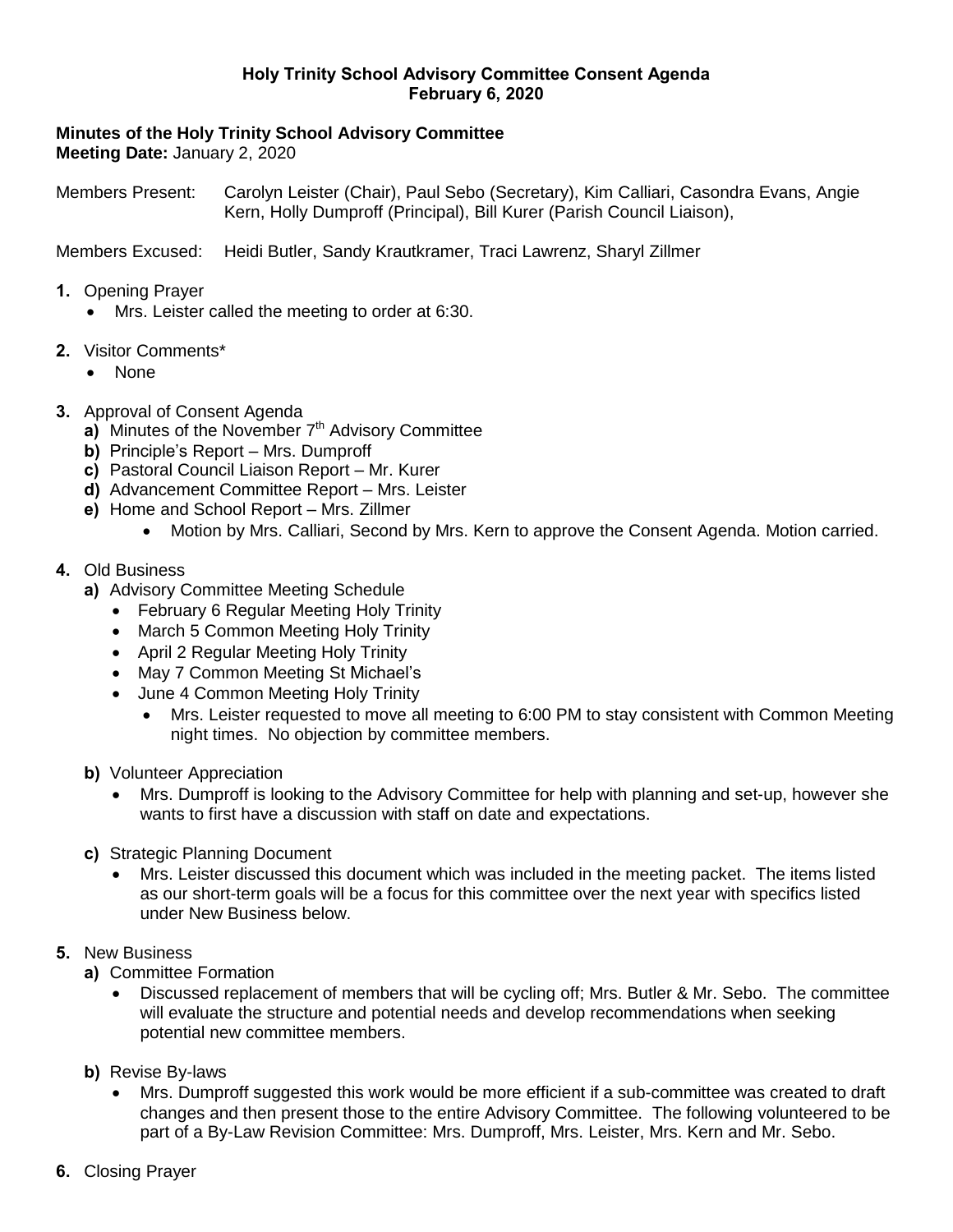#### **Holy Trinity School Advisory Committee Consent Agenda February 6, 2020**

**Minutes of the Holy Trinity School Advisory Committee Meeting Date:** January 2, 2020

Members Present: Carolyn Leister (Chair), Paul Sebo (Secretary), Kim Calliari, Casondra Evans, Angie Kern, Holly Dumproff (Principal), Bill Kurer (Parish Council Liaison),

Members Excused: Heidi Butler, Sandy Krautkramer, Traci Lawrenz, Sharyl Zillmer

- **1.** Opening Prayer
	- Mrs. Leister called the meeting to order at 6:30.
- **2.** Visitor Comments\*
	- None
- **3.** Approval of Consent Agenda
	- a) Minutes of the November 7<sup>th</sup> Advisory Committee
	- **b)** Principle's Report Mrs. Dumproff
	- **c)** Pastoral Council Liaison Report Mr. Kurer
	- **d)** Advancement Committee Report Mrs. Leister
	- **e)** Home and School Report Mrs. Zillmer
		- Motion by Mrs. Calliari, Second by Mrs. Kern to approve the Consent Agenda. Motion carried.
- **4.** Old Business
	- **a)** Advisory Committee Meeting Schedule
		- February 6 Regular Meeting Holy Trinity
		- March 5 Common Meeting Holy Trinity
		- April 2 Regular Meeting Holy Trinity
		- May 7 Common Meeting St Michael's
		- June 4 Common Meeting Holy Trinity
			- Mrs. Leister requested to move all meeting to 6:00 PM to stay consistent with Common Meeting night times. No objection by committee members.
	- **b)** Volunteer Appreciation
		- Mrs. Dumproff is looking to the Advisory Committee for help with planning and set-up, however she wants to first have a discussion with staff on date and expectations.
	- **c)** Strategic Planning Document
		- Mrs. Leister discussed this document which was included in the meeting packet. The items listed as our short-term goals will be a focus for this committee over the next year with specifics listed under New Business below.
- **5.** New Business
	- **a)** Committee Formation
		- Discussed replacement of members that will be cycling off; Mrs. Butler & Mr. Sebo. The committee will evaluate the structure and potential needs and develop recommendations when seeking potential new committee members.
	- **b)** Revise By-laws
		- Mrs. Dumproff suggested this work would be more efficient if a sub-committee was created to draft changes and then present those to the entire Advisory Committee. The following volunteered to be part of a By-Law Revision Committee: Mrs. Dumproff, Mrs. Leister, Mrs. Kern and Mr. Sebo.
- **6.** Closing Prayer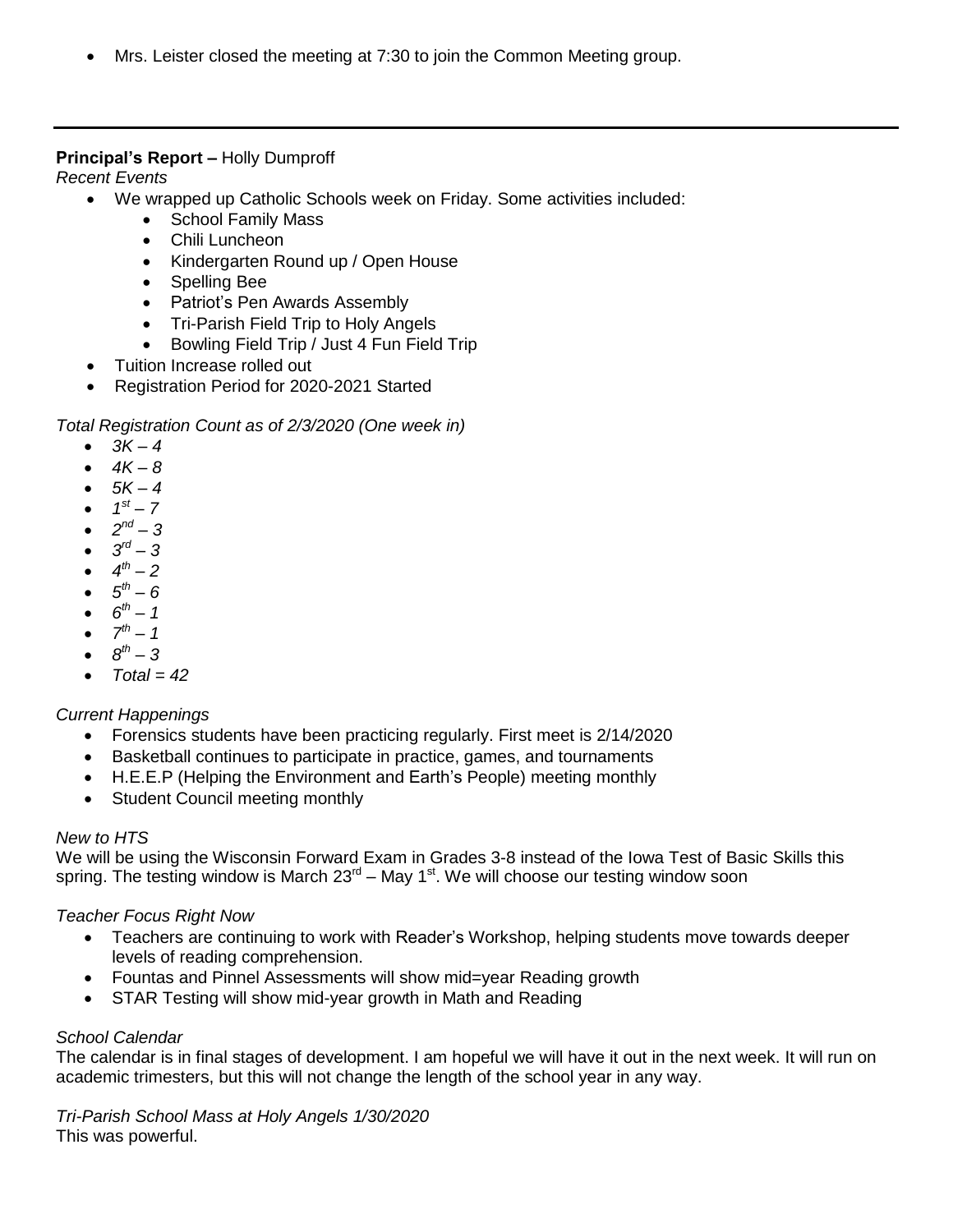Mrs. Leister closed the meeting at 7:30 to join the Common Meeting group.

## **Principal's Report –** Holly Dumproff

*Recent Events*

- We wrapped up Catholic Schools week on Friday. Some activities included:
	- School Family Mass
	- Chili Luncheon
	- Kindergarten Round up / Open House
	- Spelling Bee
	- Patriot's Pen Awards Assembly
	- Tri-Parish Field Trip to Holy Angels
	- Bowling Field Trip / Just 4 Fun Field Trip
- Tuition Increase rolled out
- Registration Period for 2020-2021 Started

## *Total Registration Count as of 2/3/2020 (One week in)*

- $3K 4$
- *4K – 8*
- *5K – 4*
- $1^{st} 7$
- $2^{nd} 3$
- $3^{rd} 3$
- $4^{th} 2$
- $5^{th} 6$
- $6^{th} 1$
- $7^{th} 1$
- $\cdot$   $8^{th} 3$
- *Total = 42*

# *Current Happenings*

- Forensics students have been practicing regularly. First meet is 2/14/2020
- Basketball continues to participate in practice, games, and tournaments
- H.E.E.P (Helping the Environment and Earth's People) meeting monthly
- Student Council meeting monthly

## *New to HTS*

We will be using the Wisconsin Forward Exam in Grades 3-8 instead of the Iowa Test of Basic Skills this spring. The testing window is March 23<sup>rd</sup> – May 1<sup>st</sup>. We will choose our testing window soon

## *Teacher Focus Right Now*

- Teachers are continuing to work with Reader's Workshop, helping students move towards deeper levels of reading comprehension.
- Fountas and Pinnel Assessments will show mid=year Reading growth
- STAR Testing will show mid-year growth in Math and Reading

## *School Calendar*

The calendar is in final stages of development. I am hopeful we will have it out in the next week. It will run on academic trimesters, but this will not change the length of the school year in any way.

*Tri-Parish School Mass at Holy Angels 1/30/2020* This was powerful.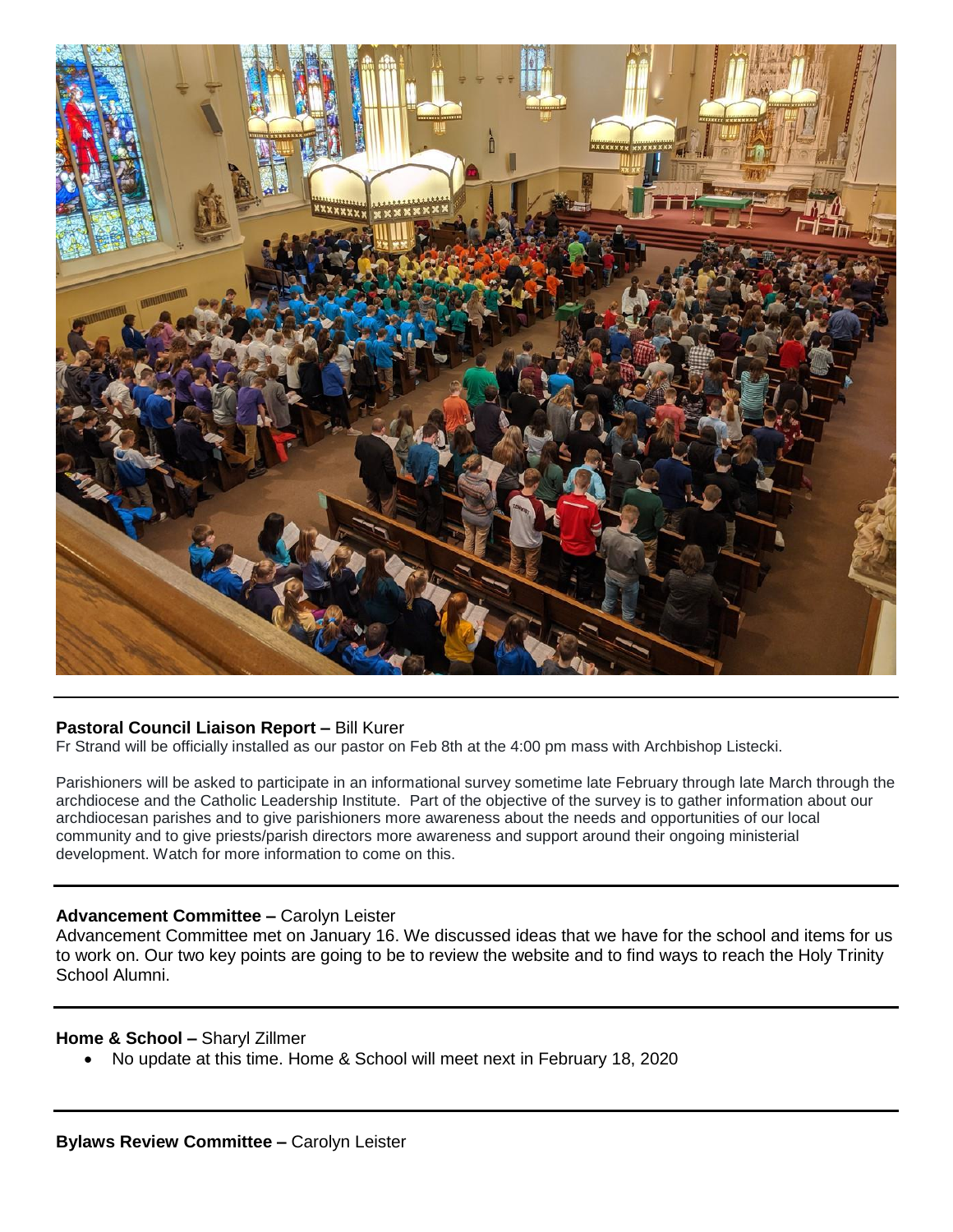

## **Pastoral Council Liaison Report –** Bill Kurer

Fr Strand will be officially installed as our pastor on Feb 8th at the 4:00 pm mass with Archbishop Listecki.

Parishioners will be asked to participate in an informational survey sometime late February through late March through the archdiocese and the Catholic Leadership Institute. Part of the objective of the survey is to gather information about our archdiocesan parishes and to give parishioners more awareness about the needs and opportunities of our local community and to give priests/parish directors more awareness and support around their ongoing ministerial development. Watch for more information to come on this.

#### **Advancement Committee –** Carolyn Leister

Advancement Committee met on January 16. We discussed ideas that we have for the school and items for us to work on. Our two key points are going to be to review the website and to find ways to reach the Holy Trinity School Alumni.

#### **Home & School –** Sharyl Zillmer

No update at this time. Home & School will meet next in February 18, 2020